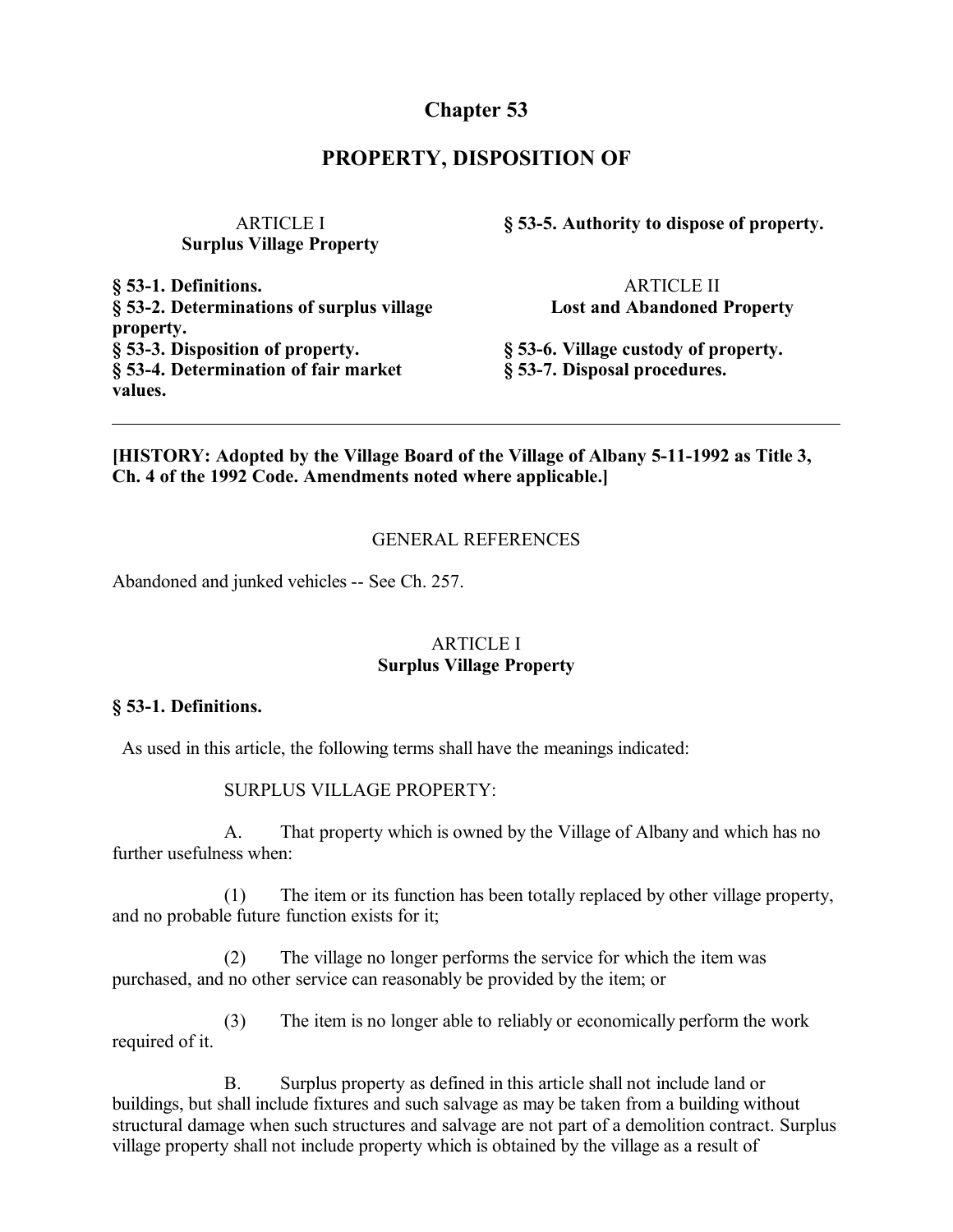# **Chapter 53**

## **PROPERTY, DISPOSITION OF**

ARTICLE I **Surplus Village Property**

**§ 53-1. Definitions. § 53-2. Determinations of surplus village property. § 53-3. Disposition of property. § 53-4. Determination of fair market values.**

**§ 53-5. Authority to dispose of property.**

ARTICLE II **Lost and Abandoned Property**

**§ 53-6. Village custody of property. § 53-7. Disposal procedures.**

## **[HISTORY: Adopted by the Village Board of the Village of Albany 5-11-1992 as Title 3, Ch. 4 of the 1992 Code. Amendments noted where applicable.]**

### GENERAL REFERENCES

Abandoned and junked vehicles -- See Ch. 257.

## ARTICLE I **Surplus Village Property**

#### **§ 53-1. Definitions.**

As used in this article, the following terms shall have the meanings indicated:

#### SURPLUS VILLAGE PROPERTY:

A. That property which is owned by the Village of Albany and which has no further usefulness when:

(1) The item or its function has been totally replaced by other village property, and no probable future function exists for it;

(2) The village no longer performs the service for which the item was purchased, and no other service can reasonably be provided by the item; or

(3) The item is no longer able to reliably or economically perform the work required of it.

B. Surplus property as defined in this article shall not include land or buildings, but shall include fixtures and such salvage as may be taken from a building without structural damage when such structures and salvage are not part of a demolition contract. Surplus village property shall not include property which is obtained by the village as a result of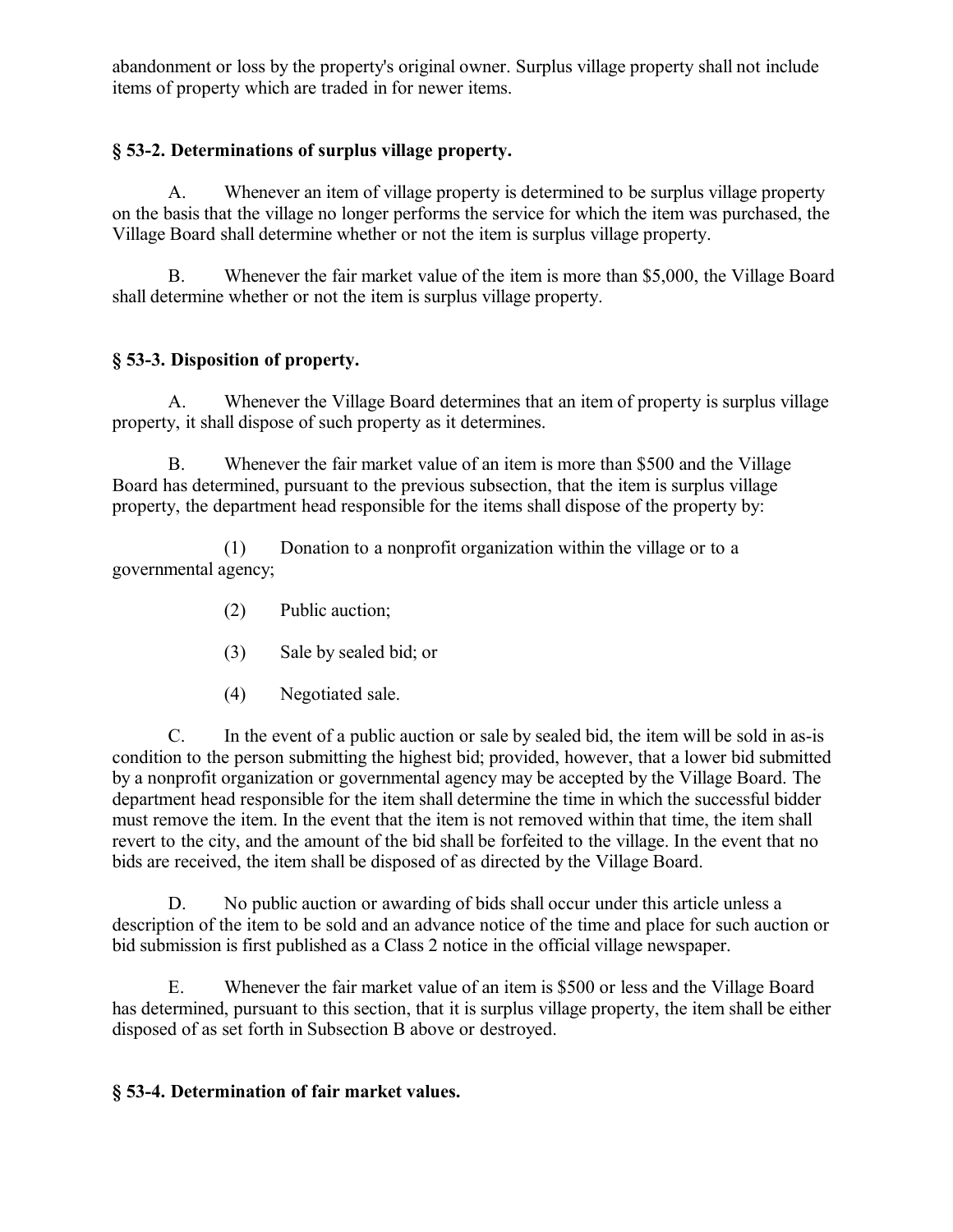abandonment or loss by the property's original owner. Surplus village property shall not include items of property which are traded in for newer items.

## **§ 53-2. Determinations of surplus village property.**

A. Whenever an item of village property is determined to be surplus village property on the basis that the village no longer performs the service for which the item was purchased, the Village Board shall determine whether or not the item is surplus village property.

B. Whenever the fair market value of the item is more than \$5,000, the Village Board shall determine whether or not the item is surplus village property.

# **§ 53-3. Disposition of property.**

A. Whenever the Village Board determines that an item of property is surplus village property, it shall dispose of such property as it determines.

B. Whenever the fair market value of an item is more than \$500 and the Village Board has determined, pursuant to the previous subsection, that the item is surplus village property, the department head responsible for the items shall dispose of the property by:

(1) Donation to a nonprofit organization within the village or to a governmental agency;

- (2) Public auction;
- (3) Sale by sealed bid; or
- (4) Negotiated sale.

C. In the event of a public auction or sale by sealed bid, the item will be sold in as-is condition to the person submitting the highest bid; provided, however, that a lower bid submitted by a nonprofit organization or governmental agency may be accepted by the Village Board. The department head responsible for the item shall determine the time in which the successful bidder must remove the item. In the event that the item is not removed within that time, the item shall revert to the city, and the amount of the bid shall be forfeited to the village. In the event that no bids are received, the item shall be disposed of as directed by the Village Board.

D. No public auction or awarding of bids shall occur under this article unless a description of the item to be sold and an advance notice of the time and place for such auction or bid submission is first published as a Class 2 notice in the official village newspaper.

E. Whenever the fair market value of an item is \$500 or less and the Village Board has determined, pursuant to this section, that it is surplus village property, the item shall be either disposed of as set forth in Subsection B above or destroyed.

# **§ 53-4. Determination of fair market values.**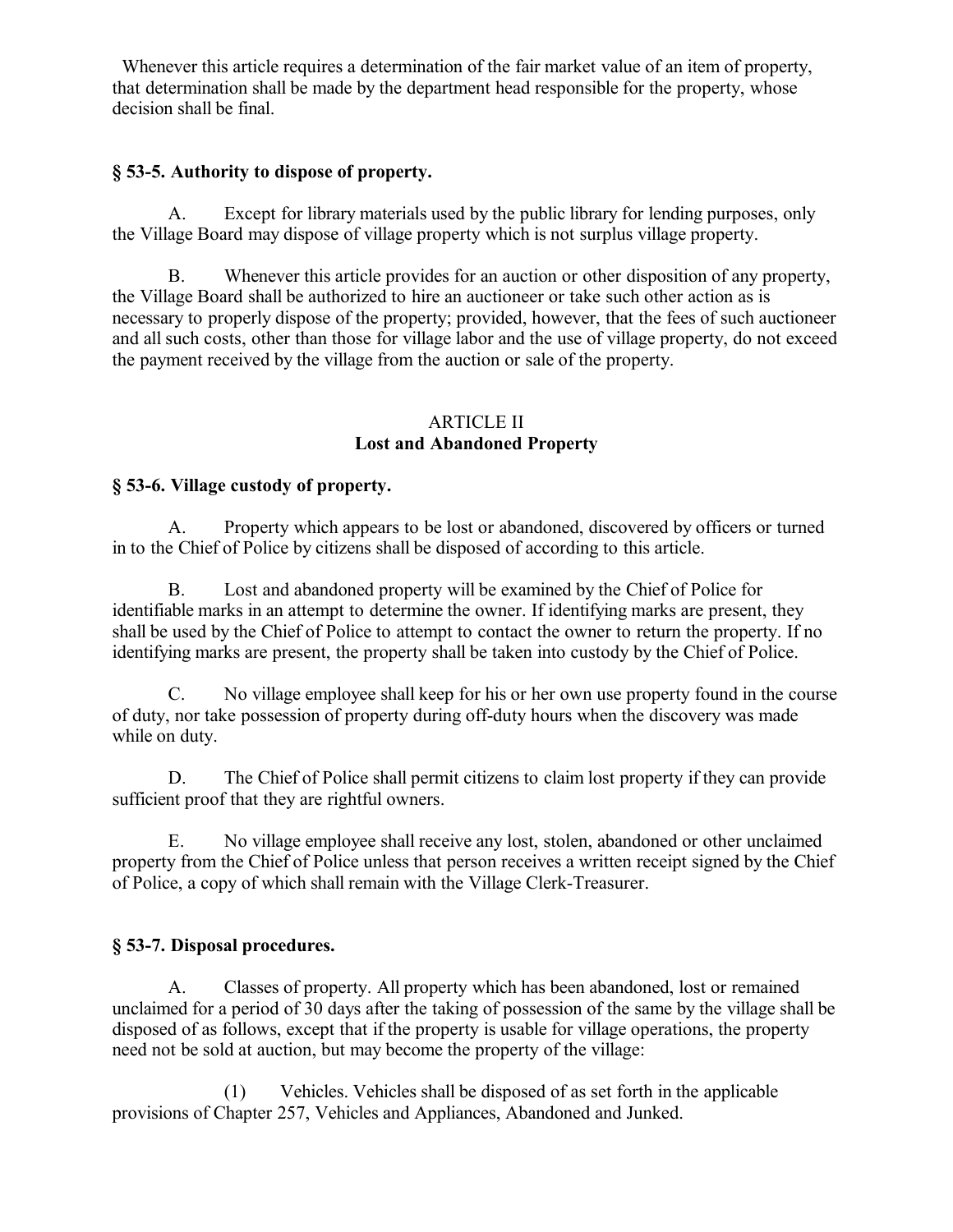Whenever this article requires a determination of the fair market value of an item of property, that determination shall be made by the department head responsible for the property, whose decision shall be final.

## **§ 53-5. Authority to dispose of property.**

A. Except for library materials used by the public library for lending purposes, only the Village Board may dispose of village property which is not surplus village property.

B. Whenever this article provides for an auction or other disposition of any property, the Village Board shall be authorized to hire an auctioneer or take such other action as is necessary to properly dispose of the property; provided, however, that the fees of such auctioneer and all such costs, other than those for village labor and the use of village property, do not exceed the payment received by the village from the auction or sale of the property.

### ARTICLE II **Lost and Abandoned Property**

## **§ 53-6. Village custody of property.**

A. Property which appears to be lost or abandoned, discovered by officers or turned in to the Chief of Police by citizens shall be disposed of according to this article.

B. Lost and abandoned property will be examined by the Chief of Police for identifiable marks in an attempt to determine the owner. If identifying marks are present, they shall be used by the Chief of Police to attempt to contact the owner to return the property. If no identifying marks are present, the property shall be taken into custody by the Chief of Police.

C. No village employee shall keep for his or her own use property found in the course of duty, nor take possession of property during off-duty hours when the discovery was made while on duty.

D. The Chief of Police shall permit citizens to claim lost property if they can provide sufficient proof that they are rightful owners.

E. No village employee shall receive any lost, stolen, abandoned or other unclaimed property from the Chief of Police unless that person receives a written receipt signed by the Chief of Police, a copy of which shall remain with the Village Clerk-Treasurer.

## **§ 53-7. Disposal procedures.**

A. Classes of property. All property which has been abandoned, lost or remained unclaimed for a period of 30 days after the taking of possession of the same by the village shall be disposed of as follows, except that if the property is usable for village operations, the property need not be sold at auction, but may become the property of the village:

(1) Vehicles. Vehicles shall be disposed of as set forth in the applicable provisions of Chapter 257, Vehicles and Appliances, Abandoned and Junked.